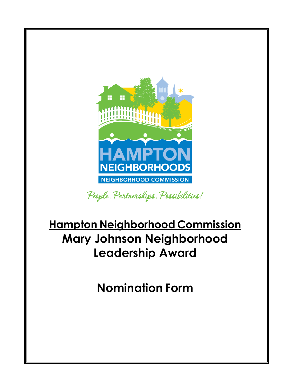

People. Partnerships. Possibilities!

# **Hampton Neighborhood Commission Mary Johnson Neighborhood Leadership Award**

**Nomination Form**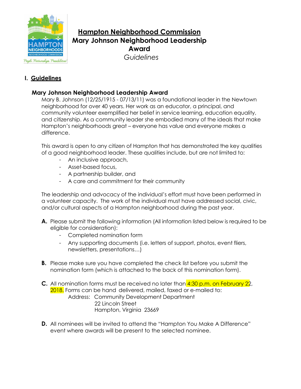

## **Hampton Neighborhood Commission Mary Johnson Neighborhood Leadership Award**  *Guidelines*

People. Partnerships. Possibilities!

## **I. Guidelines**

### **Mary Johnson Neighborhood Leadership Award**

Mary B. Johnson (12/25/1915 - 07/13/11) was a foundational leader in the Newtown neighborhood for over 40 years. Her work as an educator, a principal, and community volunteer exemplified her belief in service learning, education equality, and citizenship. As a community leader she embodied many of the ideals that make Hampton's neighborhoods great – everyone has value and everyone makes a difference.

This award is open to any citizen of Hampton that has demonstrated the key qualities of a good neighborhood leader. These qualities include, but are not limited to:

- An inclusive approach,
- Asset-based focus,
- A partnership builder, and
- A care and commitment for their community

The leadership and advocacy of the individual's effort must have been performed in a volunteer capacity. The work of the individual must have addressed social, civic, and/or cultural aspects of a Hampton neighborhood during the past year.

- **A.** Please submit the following information (All information listed below is required to be eligible for consideration):
	- Completed nomination form
	- Any supporting documents (i.e. letters of support, photos, event fliers, newsletters, presentations…)
- **B.** Please make sure you have completed the check list before you submit the nomination form (which is attached to the back of this nomination form).
- **C.** All nomination forms must be received no later than 4:30 p.m. on February 22, 2018. Forms can be hand delivered, mailed, faxed or e-mailed to: Address: Community Development Department 22 Lincoln Street Hampton, Virginia 23669
- **D.** All nominees will be invited to attend the "Hampton You Make A Difference" event where awards will be present to the selected nominee.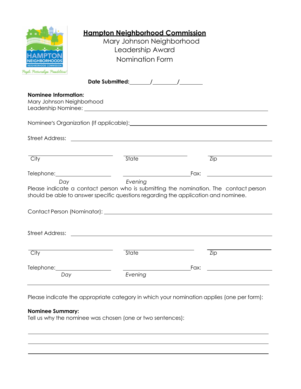| <b>Nominee Information:</b><br>Mary Johnson Neighborhood<br>Nominee's Organization (If applicable): Nomination of the contract of the contract of the contract of the contract of the contract of the contract of the contract of the contract of the contract of the contract of the cont<br><b>Street Address:</b><br>State<br>City<br>$\overline{Zip}$<br>Fax:<br>Evening<br>Day<br>Please indicate a contact person who is submitting the nomination. The contact person<br>should be able to answer specific questions regarding the application and nominee.<br><b>Street Address:</b><br>City<br><b>State</b><br>Zip<br>Telephone:<br>Fax:<br>Evening<br>Day | Pagle, Partnerslips, Passibilities/ | <b>Hampton Neighborhood Commission</b><br>Mary Johnson Neighborhood<br>Leadership Award<br>Nomination Form |  |  |
|---------------------------------------------------------------------------------------------------------------------------------------------------------------------------------------------------------------------------------------------------------------------------------------------------------------------------------------------------------------------------------------------------------------------------------------------------------------------------------------------------------------------------------------------------------------------------------------------------------------------------------------------------------------------|-------------------------------------|------------------------------------------------------------------------------------------------------------|--|--|
|                                                                                                                                                                                                                                                                                                                                                                                                                                                                                                                                                                                                                                                                     |                                     |                                                                                                            |  |  |
|                                                                                                                                                                                                                                                                                                                                                                                                                                                                                                                                                                                                                                                                     |                                     |                                                                                                            |  |  |
|                                                                                                                                                                                                                                                                                                                                                                                                                                                                                                                                                                                                                                                                     |                                     |                                                                                                            |  |  |
|                                                                                                                                                                                                                                                                                                                                                                                                                                                                                                                                                                                                                                                                     |                                     |                                                                                                            |  |  |
|                                                                                                                                                                                                                                                                                                                                                                                                                                                                                                                                                                                                                                                                     |                                     |                                                                                                            |  |  |
|                                                                                                                                                                                                                                                                                                                                                                                                                                                                                                                                                                                                                                                                     |                                     |                                                                                                            |  |  |
|                                                                                                                                                                                                                                                                                                                                                                                                                                                                                                                                                                                                                                                                     |                                     |                                                                                                            |  |  |
|                                                                                                                                                                                                                                                                                                                                                                                                                                                                                                                                                                                                                                                                     |                                     |                                                                                                            |  |  |
|                                                                                                                                                                                                                                                                                                                                                                                                                                                                                                                                                                                                                                                                     |                                     |                                                                                                            |  |  |
|                                                                                                                                                                                                                                                                                                                                                                                                                                                                                                                                                                                                                                                                     |                                     |                                                                                                            |  |  |
|                                                                                                                                                                                                                                                                                                                                                                                                                                                                                                                                                                                                                                                                     |                                     |                                                                                                            |  |  |
|                                                                                                                                                                                                                                                                                                                                                                                                                                                                                                                                                                                                                                                                     |                                     |                                                                                                            |  |  |

Please indicate the appropriate category in which your nomination applies (one per form):

#### **Nominee Summary:**

Tell us why the nominee was chosen (one or two sentences):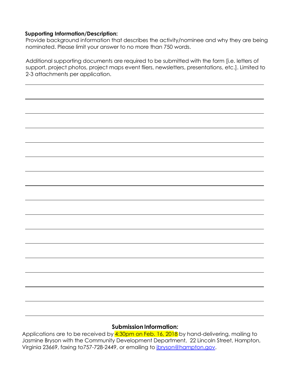#### **Supporting Information/Description:**

Provide background information that describes the activity/nominee and why they are being nominated. Please limit your answer to no more than 750 words.

Additional supporting documents are required to be submitted with the form [i.e. letters of support, project photos, project maps event fliers, newsletters, presentations, etc.]. Limited to 2-3 attachments per application.

#### **Submission Information:**

Applications are to be received by 4:30pm on Feb. 16, 2018 by hand-delivering, mailing to Jasmine Bryson with the Community Development Department, 22 Lincoln Street, Hampton, Virginia 23669, faxing to757-728-2449, or emailing to *ibryson@hampton.gov*.